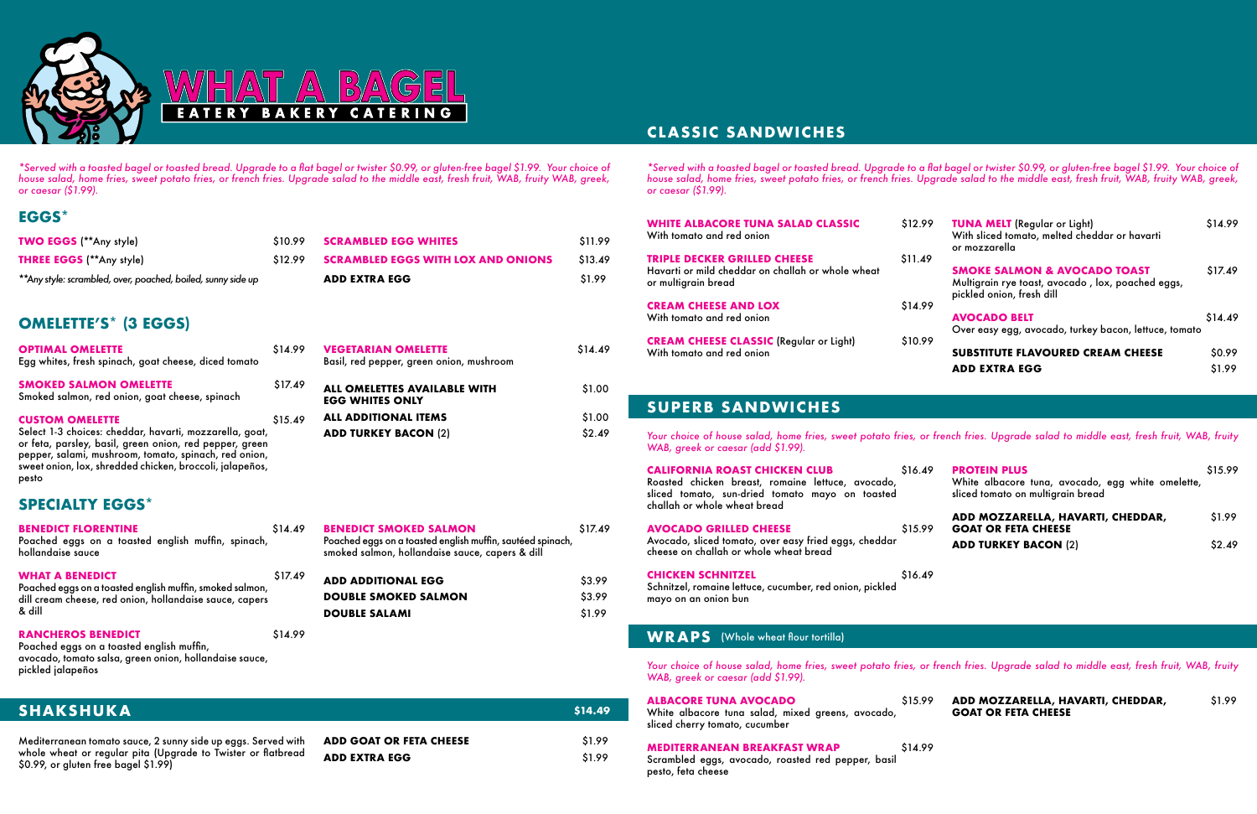### **EGGS\***

### **SUPERB SANDWICHES**

# **CLASSIC SANDWICHES**

### **SPECIALTY EGGS\***





*\*Served with a toasted bagel or toasted bread. Upgrade to a flat bagel or twister \$0.99, or gluten-free bagel \$1.99. Your choice of house salad, home fries, sweet potato fries, or french fries. Upgrade salad to the middle east, fresh fruit, WAB, fruity WAB, greek, or caesar (\$1.99).*

*\*Served with a toasted bagel or toasted bread. Upgrade to a flat bagel or twister \$0.99, or gluten-free bagel \$1.99. Your choice of house salad, home fries, sweet potato fries, or french fries. Upgrade salad to the middle east, fresh fruit, WAB, fruity WAB, greek, or caesar (\$1.99).*

*Your choice of house salad, home fries, sweet potato fries, or french fries. Upgrade salad to middle east, fresh fruit, WAB, fruity WAB, greek or caesar (add \$1.99).*

*Your choice of house salad, home fries, sweet potato fries, or french fries. Upgrade salad to middle east, fresh fruit, WAB, fruity WAB, greek or caesar (add \$1.99).*

| TWO EGGS (**Any style)                                                          | \$10.99 | <b>SCRAMBLED EGG WHITES</b>                                            | \$11.99 |
|---------------------------------------------------------------------------------|---------|------------------------------------------------------------------------|---------|
| <b>THREE EGGS</b> (**Any style)                                                 | \$12.99 | <b>SCRAMBLED EGGS WITH LOX AND ONIONS</b>                              | \$13.49 |
| ** Any style: scrambled, over, poached, boiled, sunny side up                   |         | <b>ADD EXTRA EGG</b>                                                   | \$1.99  |
| <b>OMELETTE'S* (3 EGGS)</b>                                                     |         |                                                                        |         |
| <b>OPTIMAL OMELETTE</b><br>Egg whites, fresh spinach, goat cheese, diced tomato | \$14.99 | <b>VEGETARIAN OMELETTE</b><br>Basil, red pepper, green onion, mushroom | \$14.49 |
| <b>SMOKED SALMON OMELETTE</b><br>Smoked salmon, red onion, goat cheese, spinach | \$17.49 | <b>ALL OMELETTES AVAILABLE WITH</b><br><b>EGG WHITES ONLY</b>          | \$1.00  |
| <b>CUSTOM OMELETTE</b>                                                          | \$15.49 | <b>ALL ADDITIONAL ITEMS</b>                                            | \$1.00  |

Mediterranean tomato sauce, 2 sunny side up eggs. Served with whole wheat or regular pita (Upgrade to Twister or flatbread \$0.99, or gluten free bagel \$1.99)

| 99<br>19 | <b>TUNA MELT</b> (Regular or Light)<br>With sliced tomato, melted cheddar or havarti<br>or mozzarella                     | \$14.99 |
|----------|---------------------------------------------------------------------------------------------------------------------------|---------|
| 9        | <b>SMOKE SALMON &amp; AVOCADO TOAST</b><br>Multigrain rye toast, avocado, lox, poached eggs,<br>pickled onion, fresh dill | \$17.49 |
| 99       | <b>AVOCADO BELT</b><br>Over easy egg, avocado, turkey bacon, lettuce, tomato                                              | \$14.49 |
|          | <b>SUBSTITUTE FLAVOURED CREAM CHEESE</b>                                                                                  | \$0.99  |
|          | <b>ADD EXTRA EGG</b>                                                                                                      | \$1.99  |
|          |                                                                                                                           |         |

| <b>ADD GOAT OR FETA CHEESE</b> | \$1.99 |
|--------------------------------|--------|
|                                |        |
| <b>ADD EXTRA EGG</b>           | \$1.99 |

**CALIFORNIA ROAST CHICKEN CLUB** \$16.4 Roasted chicken breast, romaine lettuce, avocado, sliced tomato, sun-dried tomato mayo on toasted challah or whole wheat bread

#### **AVOCADO GRILLED CHEESE** \$15.9 Avocado, sliced tomato, over easy fried eggs, cheddar cheese on challah or whole wheat bread

Select 1-3 choices: cheddar, havarti, mozzarella, goat, or feta, parsley, basil, green onion, red pepper, green pepper, salami, mushroom, tomato, spinach, red onion, sweet onion, lox, shredded chicken, broccoli, jalapeños, pesto

| <b>WHITE ALBACORE TUNA SALAD CLASSIC</b><br>With tomato and red onion                                           | \$12.99            |
|-----------------------------------------------------------------------------------------------------------------|--------------------|
| <b>TRIPLE DECKER GRILLED CHEESE</b><br>Havarti or mild cheddar on challah or whole wheat<br>or multigrain bread | \$11.49            |
| <b>CREAM CHEESE AND LOX</b><br>With tomato and red onion                                                        | S <sub>14.99</sub> |
| <b>CREAM CHEESE CLASSIC (Regular or Light)</b><br>With tomato and red onion                                     | \$10.99            |

**CHICKEN SCHNITZEL** \$16.49 Schnitzel, romaine lettuce, cucumber, red onion, pickled mayo on an onion bun

#### **WRAPS** (Whole wheat flour tortilla)

| 19 | <b>PROTEIN PLUS</b><br>White albacore tuna, avocado, egg white omelette,<br>sliced tomato on multigrain bread | \$15.99 |
|----|---------------------------------------------------------------------------------------------------------------|---------|
| ١Q | ADD MOZZARELLA, HAVARTI, CHEDDAR,<br><b>GOAT OR FETA CHEESE</b>                                               | \$1.99  |
|    | <b>ADD TURKEY BACON (2)</b>                                                                                   | \$2.49  |

| <b>ALBACORE TUNA AVOCADO</b><br>White albacore tuna salad, mixed greens, avocado,<br>sliced cherry tomato, cucumber |                                                                                                                 |         |  |  |
|---------------------------------------------------------------------------------------------------------------------|-----------------------------------------------------------------------------------------------------------------|---------|--|--|
|                                                                                                                     | <b>MEDITERRANEAN BREAKFAST WRAP</b><br>Scrambled eggs, avocado, roasted red pepper, basil<br>pesto, feta cheese | \$14.99 |  |  |

**ADD MOZZARELLA, HAVARTI, CHEDDAR,** \$1.99 **GOAT OR FETA CHEESE**

| <b>BENEDICT FLORENTINE</b><br>Poached eggs on a toasted english muffin, spinach,<br>hollandaise sauce                                                   | S14.49             |
|---------------------------------------------------------------------------------------------------------------------------------------------------------|--------------------|
| <b>WHAT A BENEDICT</b><br>Poached eggs on a toasted english muffin, smoked salmon,<br>dill cream cheese, red onion, hollandaise sauce, capers<br>& dill | S <sub>17.49</sub> |

#### **RANCHEROS BENEDICT** \$14.99

Poached eggs on a toasted english muffin, avocado, tomato salsa, green onion, hollandaise sauce, pickled jalapeños

### **SHAKSHUKA** \$14.49

| <b>BENEDICT SMOKED SALMON</b><br>Poached eggs on a toasted english muffin, sautéed spinach,<br>smoked salmon, hollandaise sauce, capers & dill | S <sub>17.49</sub> |
|------------------------------------------------------------------------------------------------------------------------------------------------|--------------------|
| <b>ADD ADDITIONAL EGG</b>                                                                                                                      | S3.99              |
| <b>DOUBLE SMOKED SALMON</b>                                                                                                                    | S <sub>3.99</sub>  |

**DOUBLE SALAMI** \$1.99

**ADD TURKEY BACON (2)** \$2.49